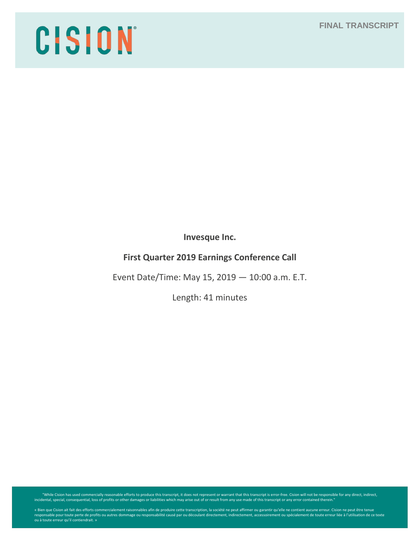# **FINAL TRANSCRIPT**

# CISION

**Invesque Inc.**

# **First Quarter 2019 Earnings Conference Call**

Event Date/Time: May 15, 2019 — 10:00 a.m. E.T.

Length: 41 minutes

"While Cision has used commercially reasonable efforts to produce this transcript, it does not represent or warrant that this transcript is error-free. Cision will not be responsible for any direct, indirect, indirect, ind

« Bien que Cision ait fait des efforts commercialement raisonnables afin de produire cette transcription, la société ne peut affirmer ou garantir qu'elle ne contient aucune erreur. Cision ne peut être tenue<br>responsable pou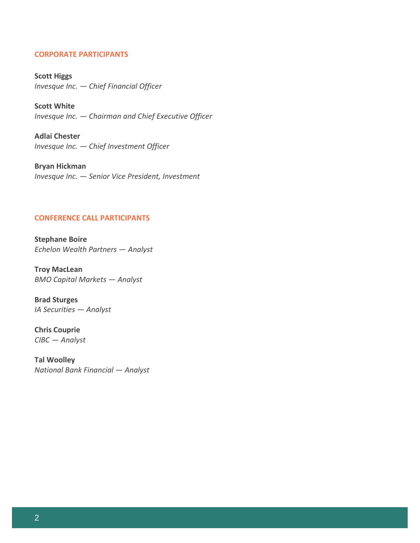## **CORPORATE PARTICIPANTS**

**Scott Higgs** *Invesque Inc. — Chief Financial Officer*

**Scott White** *Invesque Inc. — Chairman and Chief Executive Officer*

**Adlai Chester** *Invesque Inc. — Chief Investment Officer*

**Bryan Hickman** *Invesque Inc. — Senior Vice President, Investment*

## **CONFERENCE CALL PARTICIPANTS**

**Stephane Boire** *Echelon Wealth Partners — Analyst*

**Troy MacLean** *BMO Capital Markets — Analyst*

**Brad Sturges** *IA Securities — Analyst*

**Chris Couprie** *CIBC — Analyst*

**Tal Woolley** *National Bank Financial — Analyst*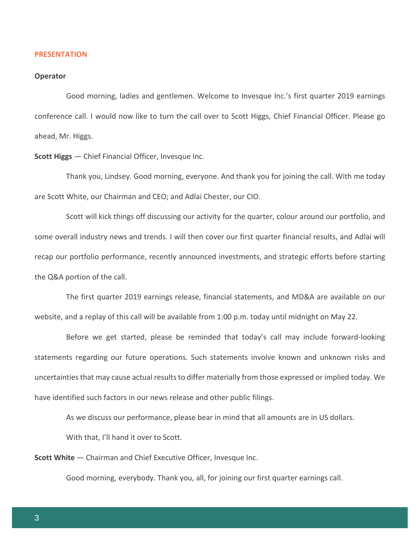#### **PRESENTATION**

#### **Operator**

Good morning, ladies and gentlemen. Welcome to Invesque Inc.'s first quarter 2019 earnings conference call. I would now like to turn the call over to Scott Higgs, Chief Financial Officer. Please go ahead, Mr. Higgs.

**Scott Higgs** — Chief Financial Officer, Invesque Inc.

Thank you, Lindsey. Good morning, everyone. And thank you for joining the call. With me today are Scott White, our Chairman and CEO; and Adlai Chester, our CIO.

Scott will kick things off discussing our activity for the quarter, colour around our portfolio, and some overall industry news and trends. I will then cover our first quarter financial results, and Adlai will recap our portfolio performance, recently announced investments, and strategic efforts before starting the Q&A portion of the call.

The first quarter 2019 earnings release, financial statements, and MD&A are available on our website, and a replay of this call will be available from 1:00 p.m. today until midnight on May 22.

Before we get started, please be reminded that today's call may include forward-looking statements regarding our future operations. Such statements involve known and unknown risks and uncertainties that may cause actual results to differ materially from those expressed or implied today. We have identified such factors in our news release and other public filings.

As we discuss our performance, please bear in mind that all amounts are in US dollars.

With that, I'll hand it over to Scott.

**Scott White** — Chairman and Chief Executive Officer, Invesque Inc.

Good morning, everybody. Thank you, all, for joining our first quarter earnings call.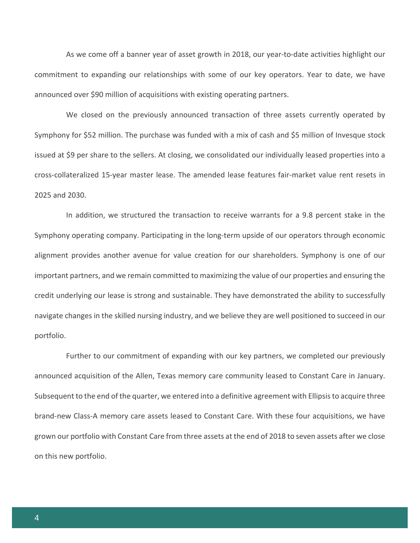As we come off a banner year of asset growth in 2018, our year-to-date activities highlight our commitment to expanding our relationships with some of our key operators. Year to date, we have announced over \$90 million of acquisitions with existing operating partners.

We closed on the previously announced transaction of three assets currently operated by Symphony for \$52 million. The purchase was funded with a mix of cash and \$5 million of Invesque stock issued at \$9 per share to the sellers. At closing, we consolidated our individually leased properties into a cross-collateralized 15-year master lease. The amended lease features fair-market value rent resets in 2025 and 2030.

In addition, we structured the transaction to receive warrants for a 9.8 percent stake in the Symphony operating company. Participating in the long-term upside of our operators through economic alignment provides another avenue for value creation for our shareholders. Symphony is one of our important partners, and we remain committed to maximizing the value of our properties and ensuring the credit underlying our lease is strong and sustainable. They have demonstrated the ability to successfully navigate changes in the skilled nursing industry, and we believe they are well positioned to succeed in our portfolio.

Further to our commitment of expanding with our key partners, we completed our previously announced acquisition of the Allen, Texas memory care community leased to Constant Care in January. Subsequent to the end of the quarter, we entered into a definitive agreement with Ellipsis to acquire three brand-new Class-A memory care assets leased to Constant Care. With these four acquisitions, we have grown our portfolio with Constant Care from three assets at the end of 2018 to seven assets after we close on this new portfolio.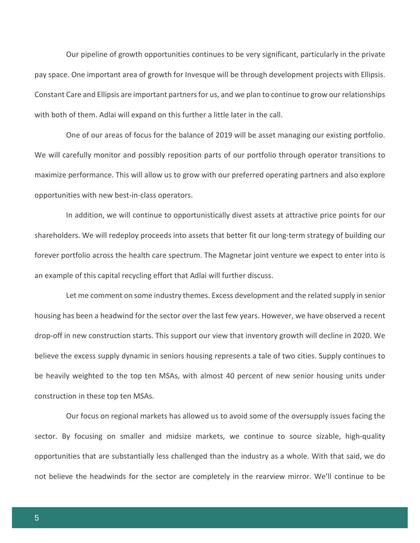Our pipeline of growth opportunities continues to be very significant, particularly in the private pay space. One important area of growth for Invesque will be through development projects with Ellipsis. Constant Care and Ellipsis are important partners for us, and we plan to continue to grow our relationships with both of them. Adlai will expand on this further a little later in the call.

One of our areas of focus for the balance of 2019 will be asset managing our existing portfolio. We will carefully monitor and possibly reposition parts of our portfolio through operator transitions to maximize performance. This will allow us to grow with our preferred operating partners and also explore opportunities with new best-in-class operators.

In addition, we will continue to opportunistically divest assets at attractive price points for our shareholders. We will redeploy proceeds into assets that better fit our long-term strategy of building our forever portfolio across the health care spectrum. The Magnetar joint venture we expect to enter into is an example of this capital recycling effort that Adlai will further discuss.

Let me comment on some industry themes. Excess development and the related supply in senior housing has been a headwind for the sector over the last few years. However, we have observed a recent drop-off in new construction starts. This support our view that inventory growth will decline in 2020. We believe the excess supply dynamic in seniors housing represents a tale of two cities. Supply continues to be heavily weighted to the top ten MSAs, with almost 40 percent of new senior housing units under construction in these top ten MSAs.

Our focus on regional markets has allowed us to avoid some of the oversupply issues facing the sector. By focusing on smaller and midsize markets, we continue to source sizable, high-quality opportunities that are substantially less challenged than the industry as a whole. With that said, we do not believe the headwinds for the sector are completely in the rearview mirror. We'll continue to be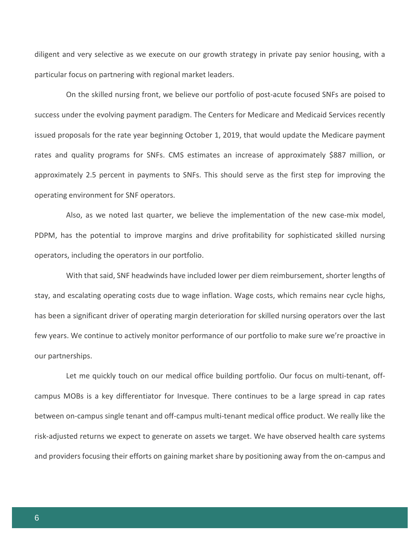diligent and very selective as we execute on our growth strategy in private pay senior housing, with a particular focus on partnering with regional market leaders.

On the skilled nursing front, we believe our portfolio of post-acute focused SNFs are poised to success under the evolving payment paradigm. The Centers for Medicare and Medicaid Services recently issued proposals for the rate year beginning October 1, 2019, that would update the Medicare payment rates and quality programs for SNFs. CMS estimates an increase of approximately \$887 million, or approximately 2.5 percent in payments to SNFs. This should serve as the first step for improving the operating environment for SNF operators.

Also, as we noted last quarter, we believe the implementation of the new case-mix model, PDPM, has the potential to improve margins and drive profitability for sophisticated skilled nursing operators, including the operators in our portfolio.

With that said, SNF headwinds have included lower per diem reimbursement, shorter lengths of stay, and escalating operating costs due to wage inflation. Wage costs, which remains near cycle highs, has been a significant driver of operating margin deterioration for skilled nursing operators over the last few years. We continue to actively monitor performance of our portfolio to make sure we're proactive in our partnerships.

Let me quickly touch on our medical office building portfolio. Our focus on multi-tenant, offcampus MOBs is a key differentiator for Invesque. There continues to be a large spread in cap rates between on-campus single tenant and off-campus multi-tenant medical office product. We really like the risk-adjusted returns we expect to generate on assets we target. We have observed health care systems and providers focusing their efforts on gaining market share by positioning away from the on-campus and

6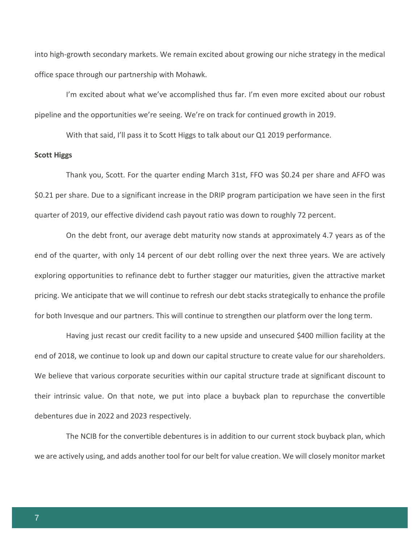into high-growth secondary markets. We remain excited about growing our niche strategy in the medical office space through our partnership with Mohawk.

I'm excited about what we've accomplished thus far. I'm even more excited about our robust pipeline and the opportunities we're seeing. We're on track for continued growth in 2019.

With that said, I'll pass it to Scott Higgs to talk about our Q1 2019 performance.

#### **Scott Higgs**

Thank you, Scott. For the quarter ending March 31st, FFO was \$0.24 per share and AFFO was \$0.21 per share. Due to a significant increase in the DRIP program participation we have seen in the first quarter of 2019, our effective dividend cash payout ratio was down to roughly 72 percent.

On the debt front, our average debt maturity now stands at approximately 4.7 years as of the end of the quarter, with only 14 percent of our debt rolling over the next three years. We are actively exploring opportunities to refinance debt to further stagger our maturities, given the attractive market pricing. We anticipate that we will continue to refresh our debt stacks strategically to enhance the profile for both Invesque and our partners. This will continue to strengthen our platform over the long term.

Having just recast our credit facility to a new upside and unsecured \$400 million facility at the end of 2018, we continue to look up and down our capital structure to create value for our shareholders. We believe that various corporate securities within our capital structure trade at significant discount to their intrinsic value. On that note, we put into place a buyback plan to repurchase the convertible debentures due in 2022 and 2023 respectively.

The NCIB for the convertible debentures is in addition to our current stock buyback plan, which we are actively using, and adds another tool for our belt for value creation. We will closely monitor market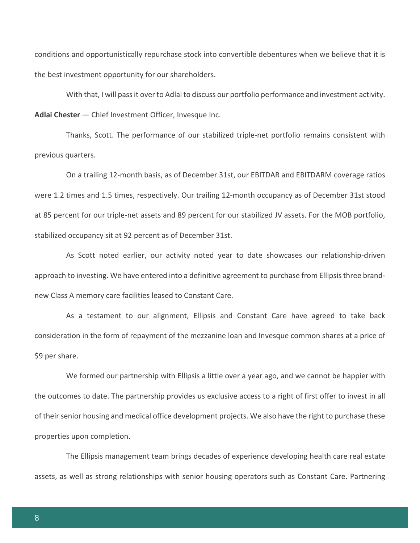conditions and opportunistically repurchase stock into convertible debentures when we believe that it is the best investment opportunity for our shareholders.

With that, I will pass it over to Adlai to discuss our portfolio performance and investment activity. **Adlai Chester** — Chief Investment Officer, Invesque Inc.

Thanks, Scott. The performance of our stabilized triple-net portfolio remains consistent with previous quarters.

On a trailing 12-month basis, as of December 31st, our EBITDAR and EBITDARM coverage ratios were 1.2 times and 1.5 times, respectively. Our trailing 12-month occupancy as of December 31st stood at 85 percent for our triple-net assets and 89 percent for our stabilized JV assets. For the MOB portfolio, stabilized occupancy sit at 92 percent as of December 31st.

As Scott noted earlier, our activity noted year to date showcases our relationship-driven approach to investing. We have entered into a definitive agreement to purchase from Ellipsis three brandnew Class A memory care facilities leased to Constant Care.

As a testament to our alignment, Ellipsis and Constant Care have agreed to take back consideration in the form of repayment of the mezzanine loan and Invesque common shares at a price of \$9 per share.

We formed our partnership with Ellipsis a little over a year ago, and we cannot be happier with the outcomes to date. The partnership provides us exclusive access to a right of first offer to invest in all of their senior housing and medical office development projects. We also have the right to purchase these properties upon completion.

The Ellipsis management team brings decades of experience developing health care real estate assets, as well as strong relationships with senior housing operators such as Constant Care. Partnering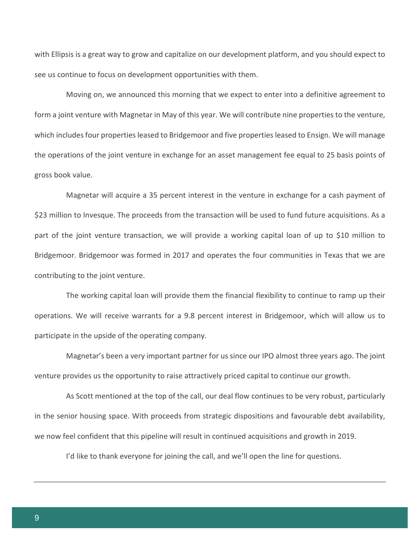with Ellipsis is a great way to grow and capitalize on our development platform, and you should expect to see us continue to focus on development opportunities with them.

Moving on, we announced this morning that we expect to enter into a definitive agreement to form a joint venture with Magnetar in May of this year. We will contribute nine properties to the venture, which includes four properties leased to Bridgemoor and five properties leased to Ensign. We will manage the operations of the joint venture in exchange for an asset management fee equal to 25 basis points of gross book value.

Magnetar will acquire a 35 percent interest in the venture in exchange for a cash payment of \$23 million to Invesque. The proceeds from the transaction will be used to fund future acquisitions. As a part of the joint venture transaction, we will provide a working capital loan of up to \$10 million to Bridgemoor. Bridgemoor was formed in 2017 and operates the four communities in Texas that we are contributing to the joint venture.

The working capital loan will provide them the financial flexibility to continue to ramp up their operations. We will receive warrants for a 9.8 percent interest in Bridgemoor, which will allow us to participate in the upside of the operating company.

Magnetar's been a very important partner for us since our IPO almost three years ago. The joint venture provides us the opportunity to raise attractively priced capital to continue our growth.

As Scott mentioned at the top of the call, our deal flow continues to be very robust, particularly in the senior housing space. With proceeds from strategic dispositions and favourable debt availability, we now feel confident that this pipeline will result in continued acquisitions and growth in 2019.

I'd like to thank everyone for joining the call, and we'll open the line for questions.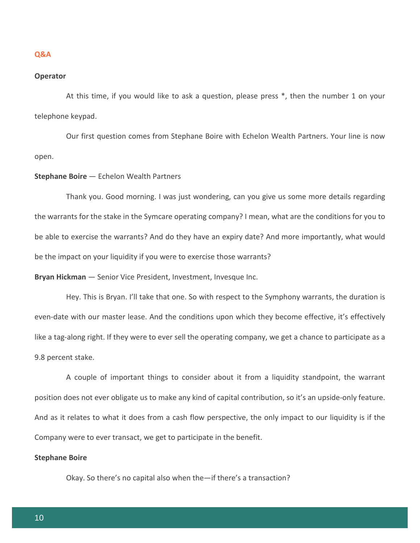#### **Q&A**

#### **Operator**

At this time, if you would like to ask a question, please press \*, then the number 1 on your telephone keypad.

Our first question comes from Stephane Boire with Echelon Wealth Partners. Your line is now open.

## **Stephane Boire** — Echelon Wealth Partners

Thank you. Good morning. I was just wondering, can you give us some more details regarding the warrants for the stake in the Symcare operating company? I mean, what are the conditions for you to be able to exercise the warrants? And do they have an expiry date? And more importantly, what would be the impact on your liquidity if you were to exercise those warrants?

**Bryan Hickman** — Senior Vice President, Investment, Invesque Inc.

Hey. This is Bryan. I'll take that one. So with respect to the Symphony warrants, the duration is even-date with our master lease. And the conditions upon which they become effective, it's effectively like a tag-along right. If they were to ever sell the operating company, we get a chance to participate as a 9.8 percent stake.

A couple of important things to consider about it from a liquidity standpoint, the warrant position does not ever obligate us to make any kind of capital contribution, so it's an upside-only feature. And as it relates to what it does from a cash flow perspective, the only impact to our liquidity is if the Company were to ever transact, we get to participate in the benefit.

#### **Stephane Boire**

Okay. So there's no capital also when the—if there's a transaction?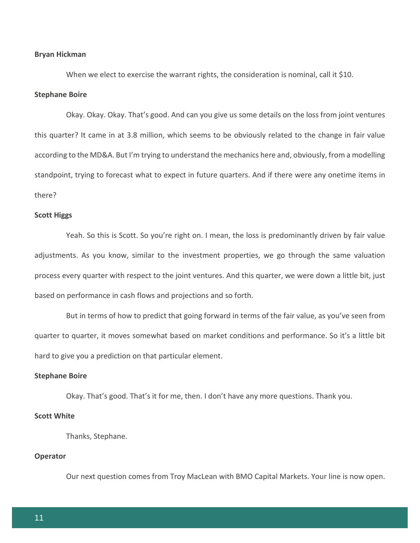#### **Bryan Hickman**

When we elect to exercise the warrant rights, the consideration is nominal, call it \$10.

## **Stephane Boire**

Okay. Okay. Okay. That's good. And can you give us some details on the loss from joint ventures this quarter? It came in at 3.8 million, which seems to be obviously related to the change in fair value according to the MD&A. But I'm trying to understand the mechanics here and, obviously, from a modelling standpoint, trying to forecast what to expect in future quarters. And if there were any onetime items in there?

#### **Scott Higgs**

Yeah. So this is Scott. So you're right on. I mean, the loss is predominantly driven by fair value adjustments. As you know, similar to the investment properties, we go through the same valuation process every quarter with respect to the joint ventures. And this quarter, we were down a little bit, just based on performance in cash flows and projections and so forth.

But in terms of how to predict that going forward in terms of the fair value, as you've seen from quarter to quarter, it moves somewhat based on market conditions and performance. So it's a little bit hard to give you a prediction on that particular element.

## **Stephane Boire**

Okay. That's good. That's it for me, then. I don't have any more questions. Thank you.

#### **Scott White**

Thanks, Stephane.

## **Operator**

Our next question comes from Troy MacLean with BMO Capital Markets. Your line is now open.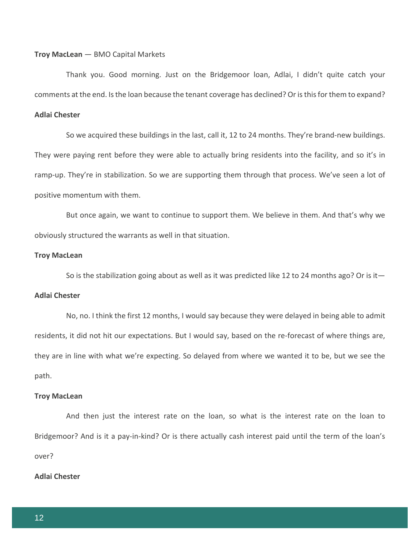#### **Troy MacLean** — BMO Capital Markets

Thank you. Good morning. Just on the Bridgemoor loan, Adlai, I didn't quite catch your comments at the end. Is the loan because the tenant coverage has declined? Or is this for them to expand?

# **Adlai Chester**

So we acquired these buildings in the last, call it, 12 to 24 months. They're brand-new buildings. They were paying rent before they were able to actually bring residents into the facility, and so it's in ramp-up. They're in stabilization. So we are supporting them through that process. We've seen a lot of positive momentum with them.

But once again, we want to continue to support them. We believe in them. And that's why we obviously structured the warrants as well in that situation.

#### **Troy MacLean**

So is the stabilization going about as well as it was predicted like 12 to 24 months ago? Or is it—

## **Adlai Chester**

No, no. I think the first 12 months, I would say because they were delayed in being able to admit residents, it did not hit our expectations. But I would say, based on the re-forecast of where things are, they are in line with what we're expecting. So delayed from where we wanted it to be, but we see the path.

#### **Troy MacLean**

And then just the interest rate on the loan, so what is the interest rate on the loan to Bridgemoor? And is it a pay-in-kind? Or is there actually cash interest paid until the term of the loan's over?

#### **Adlai Chester**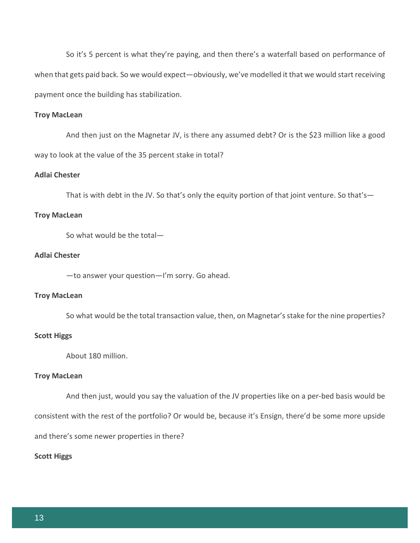So it's 5 percent is what they're paying, and then there's a waterfall based on performance of when that gets paid back. So we would expect—obviously, we've modelled it that we would start receiving payment once the building has stabilization.

## **Troy MacLean**

And then just on the Magnetar JV, is there any assumed debt? Or is the \$23 million like a good way to look at the value of the 35 percent stake in total?

## **Adlai Chester**

That is with debt in the JV. So that's only the equity portion of that joint venture. So that's—

## **Troy MacLean**

So what would be the total—

## **Adlai Chester**

—to answer your question—I'm sorry. Go ahead.

## **Troy MacLean**

So what would be the total transaction value, then, on Magnetar's stake for the nine properties?

## **Scott Higgs**

About 180 million.

#### **Troy MacLean**

And then just, would you say the valuation of the JV properties like on a per-bed basis would be consistent with the rest of the portfolio? Or would be, because it's Ensign, there'd be some more upside and there's some newer properties in there?

## **Scott Higgs**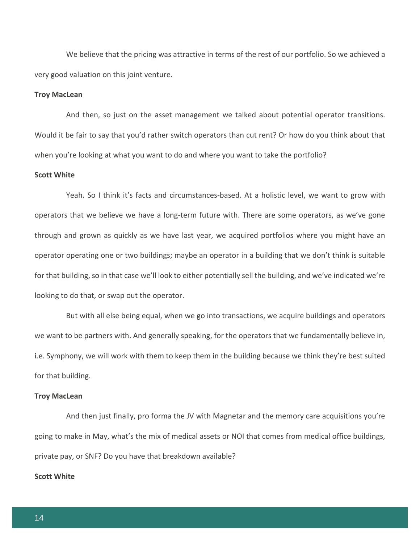We believe that the pricing was attractive in terms of the rest of our portfolio. So we achieved a very good valuation on this joint venture.

## **Troy MacLean**

And then, so just on the asset management we talked about potential operator transitions. Would it be fair to say that you'd rather switch operators than cut rent? Or how do you think about that when you're looking at what you want to do and where you want to take the portfolio?

#### **Scott White**

Yeah. So I think it's facts and circumstances-based. At a holistic level, we want to grow with operators that we believe we have a long-term future with. There are some operators, as we've gone through and grown as quickly as we have last year, we acquired portfolios where you might have an operator operating one or two buildings; maybe an operator in a building that we don't think is suitable for that building, so in that case we'll look to either potentially sell the building, and we've indicated we're looking to do that, or swap out the operator.

But with all else being equal, when we go into transactions, we acquire buildings and operators we want to be partners with. And generally speaking, for the operators that we fundamentally believe in, i.e. Symphony, we will work with them to keep them in the building because we think they're best suited for that building.

#### **Troy MacLean**

And then just finally, pro forma the JV with Magnetar and the memory care acquisitions you're going to make in May, what's the mix of medical assets or NOI that comes from medical office buildings, private pay, or SNF? Do you have that breakdown available?

## **Scott White**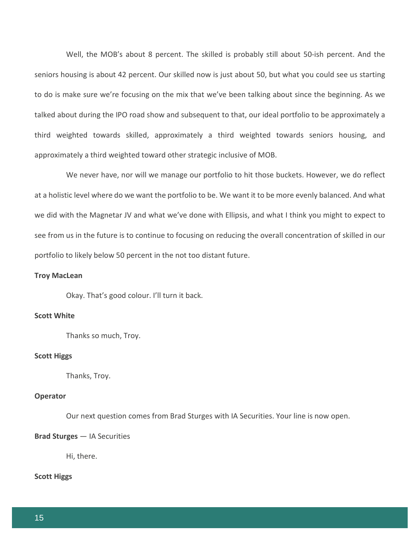Well, the MOB's about 8 percent. The skilled is probably still about 50-ish percent. And the seniors housing is about 42 percent. Our skilled now is just about 50, but what you could see us starting to do is make sure we're focusing on the mix that we've been talking about since the beginning. As we talked about during the IPO road show and subsequent to that, our ideal portfolio to be approximately a third weighted towards skilled, approximately a third weighted towards seniors housing, and approximately a third weighted toward other strategic inclusive of MOB.

We never have, nor will we manage our portfolio to hit those buckets. However, we do reflect at a holistic level where do we want the portfolio to be. We want it to be more evenly balanced. And what we did with the Magnetar JV and what we've done with Ellipsis, and what I think you might to expect to see from us in the future is to continue to focusing on reducing the overall concentration of skilled in our portfolio to likely below 50 percent in the not too distant future.

## **Troy MacLean**

Okay. That's good colour. I'll turn it back.

## **Scott White**

Thanks so much, Troy.

#### **Scott Higgs**

Thanks, Troy.

## **Operator**

Our next question comes from Brad Sturges with IA Securities. Your line is now open.

#### **Brad Sturges** — IA Securities

Hi, there.

#### **Scott Higgs**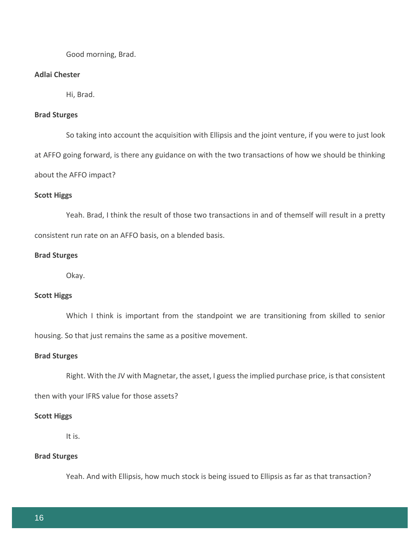Good morning, Brad.

## **Adlai Chester**

Hi, Brad.

## **Brad Sturges**

So taking into account the acquisition with Ellipsis and the joint venture, if you were to just look at AFFO going forward, is there any guidance on with the two transactions of how we should be thinking about the AFFO impact?

## **Scott Higgs**

Yeah. Brad, I think the result of those two transactions in and of themself will result in a pretty consistent run rate on an AFFO basis, on a blended basis.

#### **Brad Sturges**

Okay.

## **Scott Higgs**

Which I think is important from the standpoint we are transitioning from skilled to senior housing. So that just remains the same as a positive movement.

## **Brad Sturges**

Right. With the JV with Magnetar, the asset, I guess the implied purchase price, is that consistent

then with your IFRS value for those assets?

#### **Scott Higgs**

It is.

## **Brad Sturges**

Yeah. And with Ellipsis, how much stock is being issued to Ellipsis as far as that transaction?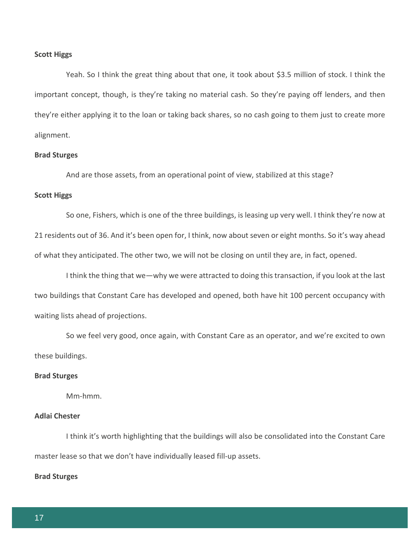#### **Scott Higgs**

Yeah. So I think the great thing about that one, it took about \$3.5 million of stock. I think the important concept, though, is they're taking no material cash. So they're paying off lenders, and then they're either applying it to the loan or taking back shares, so no cash going to them just to create more alignment.

#### **Brad Sturges**

And are those assets, from an operational point of view, stabilized at this stage?

#### **Scott Higgs**

So one, Fishers, which is one of the three buildings, is leasing up very well. I think they're now at 21 residents out of 36. And it's been open for, I think, now about seven or eight months. So it's way ahead of what they anticipated. The other two, we will not be closing on until they are, in fact, opened.

I think the thing that we—why we were attracted to doing this transaction, if you look at the last two buildings that Constant Care has developed and opened, both have hit 100 percent occupancy with waiting lists ahead of projections.

So we feel very good, once again, with Constant Care as an operator, and we're excited to own these buildings.

#### **Brad Sturges**

Mm-hmm.

## **Adlai Chester**

I think it's worth highlighting that the buildings will also be consolidated into the Constant Care master lease so that we don't have individually leased fill-up assets.

#### **Brad Sturges**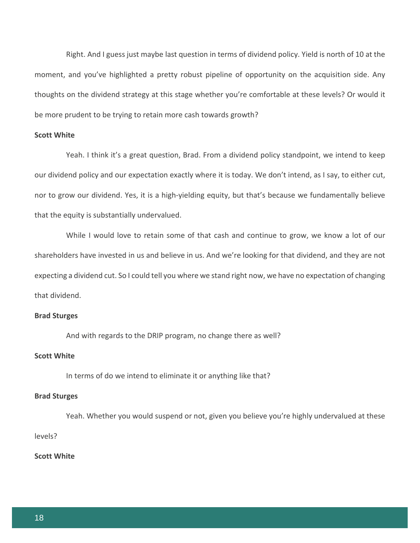Right. And I guess just maybe last question in terms of dividend policy. Yield is north of 10 at the moment, and you've highlighted a pretty robust pipeline of opportunity on the acquisition side. Any thoughts on the dividend strategy at this stage whether you're comfortable at these levels? Or would it be more prudent to be trying to retain more cash towards growth?

## **Scott White**

Yeah. I think it's a great question, Brad. From a dividend policy standpoint, we intend to keep our dividend policy and our expectation exactly where it is today. We don't intend, as I say, to either cut, nor to grow our dividend. Yes, it is a high-yielding equity, but that's because we fundamentally believe that the equity is substantially undervalued.

While I would love to retain some of that cash and continue to grow, we know a lot of our shareholders have invested in us and believe in us. And we're looking for that dividend, and they are not expecting a dividend cut. So I could tell you where we stand right now, we have no expectation of changing that dividend.

#### **Brad Sturges**

And with regards to the DRIP program, no change there as well?

## **Scott White**

In terms of do we intend to eliminate it or anything like that?

#### **Brad Sturges**

Yeah. Whether you would suspend or not, given you believe you're highly undervalued at these levels?

## **Scott White**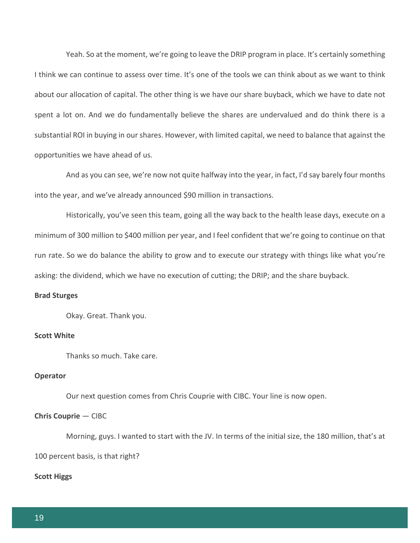Yeah. So at the moment, we're going to leave the DRIP program in place. It's certainly something I think we can continue to assess over time. It's one of the tools we can think about as we want to think about our allocation of capital. The other thing is we have our share buyback, which we have to date not spent a lot on. And we do fundamentally believe the shares are undervalued and do think there is a substantial ROI in buying in our shares. However, with limited capital, we need to balance that against the opportunities we have ahead of us.

And as you can see, we're now not quite halfway into the year, in fact, I'd say barely four months into the year, and we've already announced \$90 million in transactions.

Historically, you've seen this team, going all the way back to the health lease days, execute on a minimum of 300 million to \$400 million per year, and I feel confident that we're going to continue on that run rate. So we do balance the ability to grow and to execute our strategy with things like what you're asking: the dividend, which we have no execution of cutting; the DRIP; and the share buyback.

## **Brad Sturges**

Okay. Great. Thank you.

## **Scott White**

Thanks so much. Take care.

#### **Operator**

Our next question comes from Chris Couprie with CIBC. Your line is now open.

#### **Chris Couprie** — CIBC

Morning, guys. I wanted to start with the JV. In terms of the initial size, the 180 million, that's at 100 percent basis, is that right?

#### **Scott Higgs**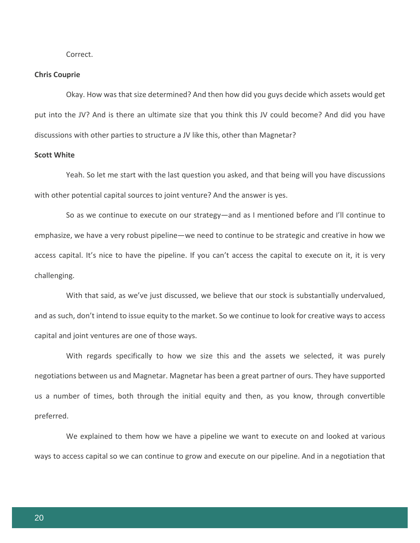Correct.

#### **Chris Couprie**

Okay. How was that size determined? And then how did you guys decide which assets would get put into the JV? And is there an ultimate size that you think this JV could become? And did you have discussions with other parties to structure a JV like this, other than Magnetar?

## **Scott White**

Yeah. So let me start with the last question you asked, and that being will you have discussions with other potential capital sources to joint venture? And the answer is yes.

So as we continue to execute on our strategy—and as I mentioned before and I'll continue to emphasize, we have a very robust pipeline—we need to continue to be strategic and creative in how we access capital. It's nice to have the pipeline. If you can't access the capital to execute on it, it is very challenging.

With that said, as we've just discussed, we believe that our stock is substantially undervalued, and as such, don't intend to issue equity to the market. So we continue to look for creative ways to access capital and joint ventures are one of those ways.

With regards specifically to how we size this and the assets we selected, it was purely negotiations between us and Magnetar. Magnetar has been a great partner of ours. They have supported us a number of times, both through the initial equity and then, as you know, through convertible preferred.

We explained to them how we have a pipeline we want to execute on and looked at various ways to access capital so we can continue to grow and execute on our pipeline. And in a negotiation that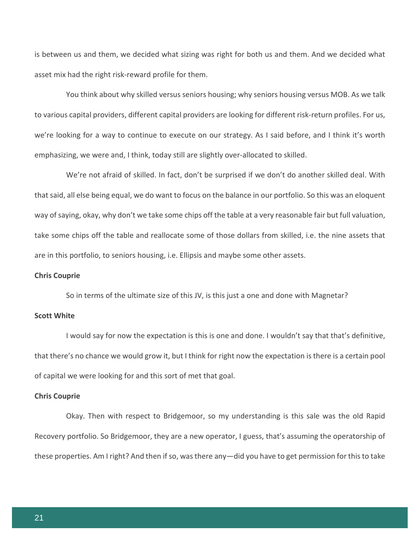is between us and them, we decided what sizing was right for both us and them. And we decided what asset mix had the right risk-reward profile for them.

You think about why skilled versus seniors housing; why seniors housing versus MOB. As we talk to various capital providers, different capital providers are looking for different risk-return profiles. For us, we're looking for a way to continue to execute on our strategy. As I said before, and I think it's worth emphasizing, we were and, I think, today still are slightly over-allocated to skilled.

We're not afraid of skilled. In fact, don't be surprised if we don't do another skilled deal. With that said, all else being equal, we do want to focus on the balance in our portfolio. So this was an eloquent way of saying, okay, why don't we take some chips off the table at a very reasonable fair but full valuation, take some chips off the table and reallocate some of those dollars from skilled, i.e. the nine assets that are in this portfolio, to seniors housing, i.e. Ellipsis and maybe some other assets.

## **Chris Couprie**

So in terms of the ultimate size of this JV, is this just a one and done with Magnetar?

## **Scott White**

I would say for now the expectation is this is one and done. I wouldn't say that that's definitive, that there's no chance we would grow it, but I think for right now the expectation is there is a certain pool of capital we were looking for and this sort of met that goal.

## **Chris Couprie**

Okay. Then with respect to Bridgemoor, so my understanding is this sale was the old Rapid Recovery portfolio. So Bridgemoor, they are a new operator, I guess, that's assuming the operatorship of these properties. Am I right? And then if so, was there any—did you have to get permission for this to take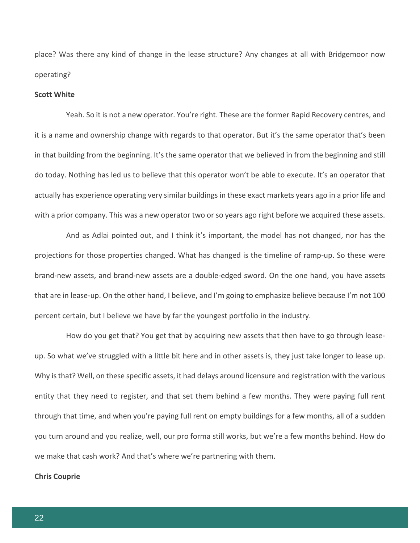place? Was there any kind of change in the lease structure? Any changes at all with Bridgemoor now operating?

#### **Scott White**

Yeah. So it is not a new operator. You're right. These are the former Rapid Recovery centres, and it is a name and ownership change with regards to that operator. But it's the same operator that's been in that building from the beginning. It's the same operator that we believed in from the beginning and still do today. Nothing has led us to believe that this operator won't be able to execute. It's an operator that actually has experience operating very similar buildings in these exact markets years ago in a prior life and with a prior company. This was a new operator two or so years ago right before we acquired these assets.

And as Adlai pointed out, and I think it's important, the model has not changed, nor has the projections for those properties changed. What has changed is the timeline of ramp-up. So these were brand-new assets, and brand-new assets are a double-edged sword. On the one hand, you have assets that are in lease-up. On the other hand, I believe, and I'm going to emphasize believe because I'm not 100 percent certain, but I believe we have by far the youngest portfolio in the industry.

How do you get that? You get that by acquiring new assets that then have to go through leaseup. So what we've struggled with a little bit here and in other assets is, they just take longer to lease up. Why is that? Well, on these specific assets, it had delays around licensure and registration with the various entity that they need to register, and that set them behind a few months. They were paying full rent through that time, and when you're paying full rent on empty buildings for a few months, all of a sudden you turn around and you realize, well, our pro forma still works, but we're a few months behind. How do we make that cash work? And that's where we're partnering with them.

#### **Chris Couprie**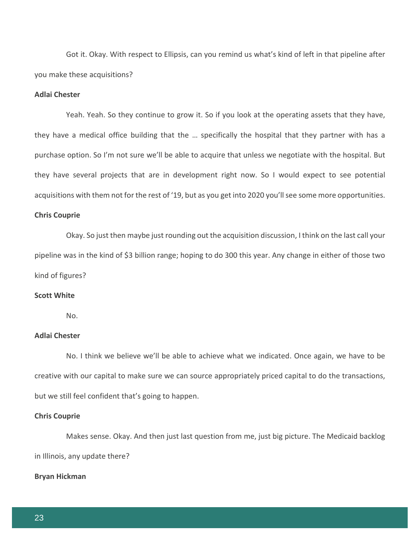Got it. Okay. With respect to Ellipsis, can you remind us what's kind of left in that pipeline after you make these acquisitions?

## **Adlai Chester**

Yeah. Yeah. So they continue to grow it. So if you look at the operating assets that they have, they have a medical office building that the … specifically the hospital that they partner with has a purchase option. So I'm not sure we'll be able to acquire that unless we negotiate with the hospital. But they have several projects that are in development right now. So I would expect to see potential acquisitions with them not for the rest of '19, but as you get into 2020 you'll see some more opportunities.

#### **Chris Couprie**

Okay. So just then maybe just rounding out the acquisition discussion, I think on the last call your pipeline was in the kind of \$3 billion range; hoping to do 300 this year. Any change in either of those two kind of figures?

#### **Scott White**

 $N<sub>0</sub>$ 

## **Adlai Chester**

No. I think we believe we'll be able to achieve what we indicated. Once again, we have to be creative with our capital to make sure we can source appropriately priced capital to do the transactions, but we still feel confident that's going to happen.

#### **Chris Couprie**

Makes sense. Okay. And then just last question from me, just big picture. The Medicaid backlog in Illinois, any update there?

## **Bryan Hickman**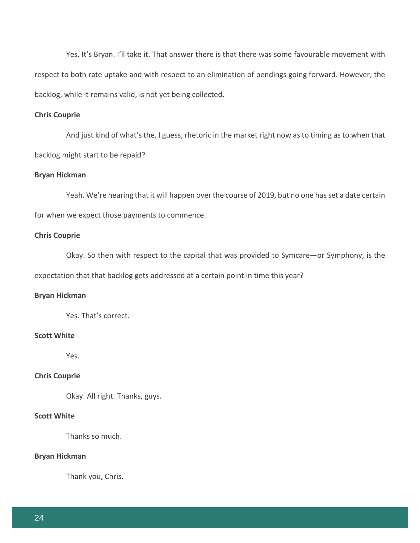Yes. It's Bryan. I'll take it. That answer there is that there was some favourable movement with respect to both rate uptake and with respect to an elimination of pendings going forward. However, the backlog, while it remains valid, is not yet being collected.

## **Chris Couprie**

And just kind of what's the, I guess, rhetoric in the market right now as to timing as to when that backlog might start to be repaid?

#### **Bryan Hickman**

Yeah. We're hearing that it will happen over the course of 2019, but no one has set a date certain for when we expect those payments to commence.

## **Chris Couprie**

Okay. So then with respect to the capital that was provided to Symcare—or Symphony, is the expectation that that backlog gets addressed at a certain point in time this year?

## **Bryan Hickman**

Yes. That's correct.

## **Scott White**

Yes.

## **Chris Couprie**

Okay. All right. Thanks, guys.

## **Scott White**

Thanks so much.

## **Bryan Hickman**

Thank you, Chris.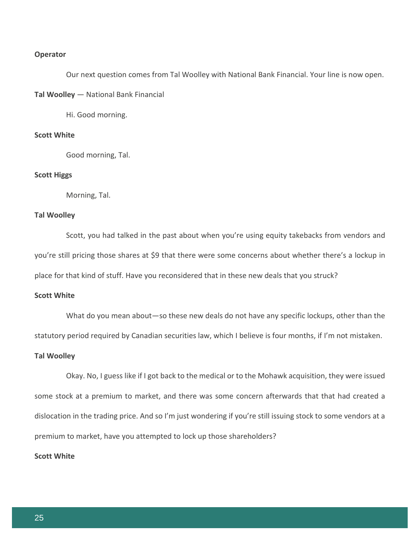#### **Operator**

Our next question comes from Tal Woolley with National Bank Financial. Your line is now open.

**Tal Woolley** — National Bank Financial

Hi. Good morning.

## **Scott White**

Good morning, Tal.

#### **Scott Higgs**

Morning, Tal.

## **Tal Woolley**

Scott, you had talked in the past about when you're using equity takebacks from vendors and you're still pricing those shares at \$9 that there were some concerns about whether there's a lockup in place for that kind of stuff. Have you reconsidered that in these new deals that you struck?

## **Scott White**

What do you mean about—so these new deals do not have any specific lockups, other than the statutory period required by Canadian securities law, which I believe is four months, if I'm not mistaken.

## **Tal Woolley**

Okay. No, I guess like if I got back to the medical or to the Mohawk acquisition, they were issued some stock at a premium to market, and there was some concern afterwards that that had created a dislocation in the trading price. And so I'm just wondering if you're still issuing stock to some vendors at a premium to market, have you attempted to lock up those shareholders?

## **Scott White**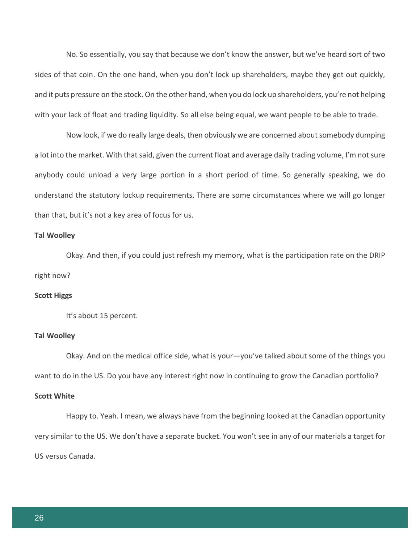No. So essentially, you say that because we don't know the answer, but we've heard sort of two sides of that coin. On the one hand, when you don't lock up shareholders, maybe they get out quickly, and it puts pressure on the stock. On the other hand, when you do lock up shareholders, you're not helping with your lack of float and trading liquidity. So all else being equal, we want people to be able to trade.

Now look, if we do really large deals, then obviously we are concerned about somebody dumping a lot into the market. With that said, given the current float and average daily trading volume, I'm not sure anybody could unload a very large portion in a short period of time. So generally speaking, we do understand the statutory lockup requirements. There are some circumstances where we will go longer than that, but it's not a key area of focus for us.

## **Tal Woolley**

Okay. And then, if you could just refresh my memory, what is the participation rate on the DRIP right now?

#### **Scott Higgs**

It's about 15 percent.

#### **Tal Woolley**

Okay. And on the medical office side, what is your—you've talked about some of the things you want to do in the US. Do you have any interest right now in continuing to grow the Canadian portfolio?

## **Scott White**

Happy to. Yeah. I mean, we always have from the beginning looked at the Canadian opportunity very similar to the US. We don't have a separate bucket. You won't see in any of our materials a target for US versus Canada.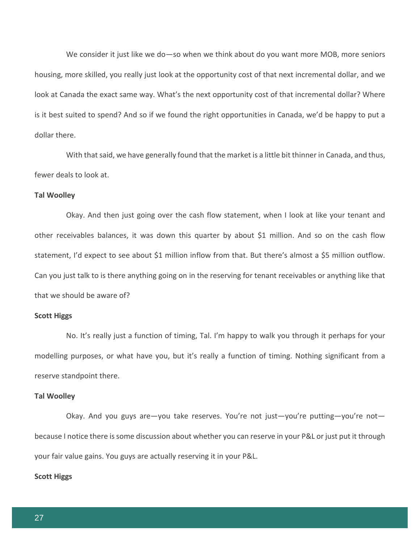We consider it just like we do—so when we think about do you want more MOB, more seniors housing, more skilled, you really just look at the opportunity cost of that next incremental dollar, and we look at Canada the exact same way. What's the next opportunity cost of that incremental dollar? Where is it best suited to spend? And so if we found the right opportunities in Canada, we'd be happy to put a dollar there.

With that said, we have generally found that the market is a little bit thinner in Canada, and thus, fewer deals to look at.

#### **Tal Woolley**

Okay. And then just going over the cash flow statement, when I look at like your tenant and other receivables balances, it was down this quarter by about \$1 million. And so on the cash flow statement, I'd expect to see about \$1 million inflow from that. But there's almost a \$5 million outflow. Can you just talk to is there anything going on in the reserving for tenant receivables or anything like that that we should be aware of?

#### **Scott Higgs**

No. It's really just a function of timing, Tal. I'm happy to walk you through it perhaps for your modelling purposes, or what have you, but it's really a function of timing. Nothing significant from a reserve standpoint there.

## **Tal Woolley**

Okay. And you guys are—you take reserves. You're not just—you're putting—you're not because I notice there is some discussion about whether you can reserve in your P&L or just put it through your fair value gains. You guys are actually reserving it in your P&L.

#### **Scott Higgs**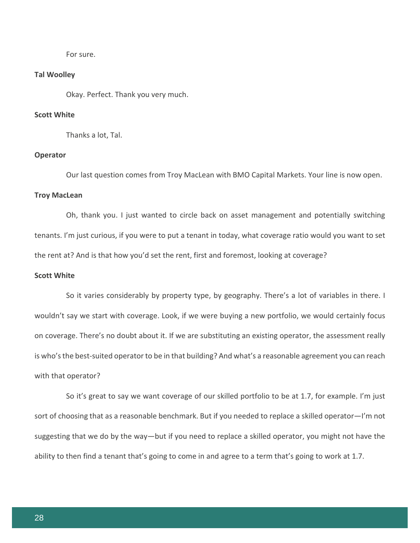For sure.

#### **Tal Woolley**

Okay. Perfect. Thank you very much.

## **Scott White**

Thanks a lot, Tal.

#### **Operator**

Our last question comes from Troy MacLean with BMO Capital Markets. Your line is now open.

#### **Troy MacLean**

Oh, thank you. I just wanted to circle back on asset management and potentially switching tenants. I'm just curious, if you were to put a tenant in today, what coverage ratio would you want to set the rent at? And is that how you'd set the rent, first and foremost, looking at coverage?

## **Scott White**

So it varies considerably by property type, by geography. There's a lot of variables in there. I wouldn't say we start with coverage. Look, if we were buying a new portfolio, we would certainly focus on coverage. There's no doubt about it. If we are substituting an existing operator, the assessment really is who's the best-suited operator to be in that building? And what's a reasonable agreement you can reach with that operator?

So it's great to say we want coverage of our skilled portfolio to be at 1.7, for example. I'm just sort of choosing that as a reasonable benchmark. But if you needed to replace a skilled operator—I'm not suggesting that we do by the way—but if you need to replace a skilled operator, you might not have the ability to then find a tenant that's going to come in and agree to a term that's going to work at 1.7.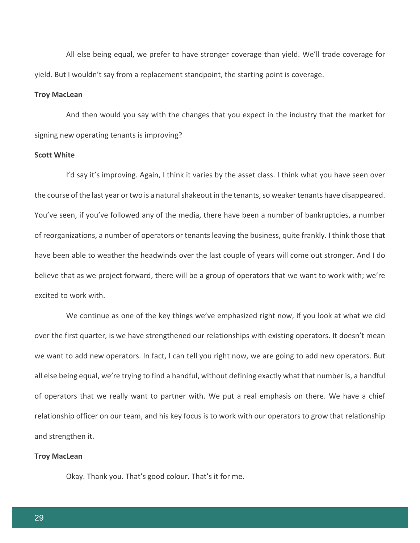All else being equal, we prefer to have stronger coverage than yield. We'll trade coverage for yield. But I wouldn't say from a replacement standpoint, the starting point is coverage.

## **Troy MacLean**

And then would you say with the changes that you expect in the industry that the market for signing new operating tenants is improving?

## **Scott White**

I'd say it's improving. Again, I think it varies by the asset class. I think what you have seen over the course of the last year or two is a natural shakeout in the tenants, so weaker tenants have disappeared. You've seen, if you've followed any of the media, there have been a number of bankruptcies, a number of reorganizations, a number of operators or tenants leaving the business, quite frankly. I think those that have been able to weather the headwinds over the last couple of years will come out stronger. And I do believe that as we project forward, there will be a group of operators that we want to work with; we're excited to work with.

We continue as one of the key things we've emphasized right now, if you look at what we did over the first quarter, is we have strengthened our relationships with existing operators. It doesn't mean we want to add new operators. In fact, I can tell you right now, we are going to add new operators. But all else being equal, we're trying to find a handful, without defining exactly what that number is, a handful of operators that we really want to partner with. We put a real emphasis on there. We have a chief relationship officer on our team, and his key focus is to work with our operators to grow that relationship and strengthen it.

#### **Troy MacLean**

Okay. Thank you. That's good colour. That's it for me.